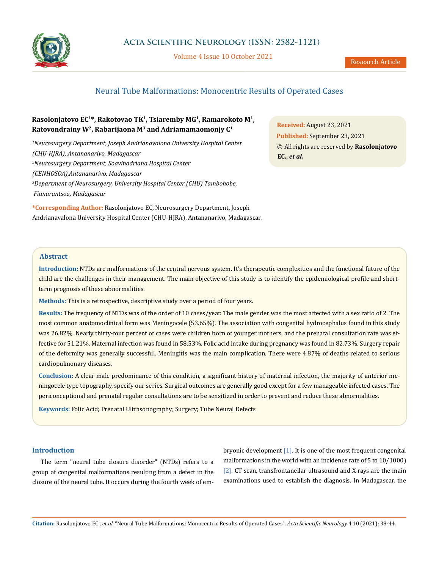

Volume 4 Issue 10 October 2021

# Neural Tube Malformations: Monocentric Results of Operated Cases

# **Rasolonjatovo EC1\*, Rakotovao TK1, Tsiaremby MG1, Ramarokoto M1, Ratovondrainy W2, Rabarijaona M3 and Adriamamaomonjy C1**

*1 Neurosurgery Department, Joseph Andrianavalona University Hospital Center (CHU-HJRA), Antananarivo, Madagascar 2 Neurosurgery Department, Soavinadriana Hospital Center (CENHOSOA),Antananarivo, Madagascar 3 Department of Neurosurgery, University Hospital Center (CHU) Tambohobe, Fianarantsoa, Madagascar* 

**\*Corresponding Author:** Rasolonjatovo EC, Neurosurgery Department, Joseph Andrianavalona University Hospital Center (CHU-HJRA), Antananarivo, Madagascar.

**Received:** August 23, 2021 **Published:** September 23, 2021 © All rights are reserved by **Rasolonjatovo EC.,** *et al.*

## **Abstract**

**Introduction:** NTDs are malformations of the central nervous system. It's therapeutic complexities and the functional future of the child are the challenges in their management. The main objective of this study is to identify the epidemiological profile and shortterm prognosis of these abnormalities.

**Methods:** This is a retrospective, descriptive study over a period of four years.

**Results:** The frequency of NTDs was of the order of 10 cases/year. The male gender was the most affected with a sex ratio of 2. The most common anatomoclinical form was Meningocele (53.65%). The association with congenital hydrocephalus found in this study was 26.82%. Nearly thirty-four percent of cases were children born of younger mothers, and the prenatal consultation rate was effective for 51.21%. Maternal infection was found in 58.53%. Folic acid intake during pregnancy was found in 82.73%. Surgery repair of the deformity was generally successful. Meningitis was the main complication. There were 4.87% of deaths related to serious cardiopulmonary diseases.

**Conclusion:** A clear male predominance of this condition, a significant history of maternal infection, the majority of anterior meningocele type topography, specify our series. Surgical outcomes are generally good except for a few manageable infected cases. The periconceptional and prenatal regular consultations are to be sensitized in order to prevent and reduce these abnormalities**.**

**Keywords:** Folic Acid; Prenatal Ultrasonography; Surgery; Tube Neural Defects

## **Introduction**

The term "neural tube closure disorder" (NTDs) refers to a group of congenital malformations resulting from a defect in the closure of the neural tube. It occurs during the fourth week of embryonic development [1]. It is one of the most frequent congenital malformations in the world with an incidence rate of 5 to 10/1000) [2]. CT scan, transfrontanellar ultrasound and X-rays are the main examinations used to establish the diagnosis. In Madagascar, the

**Citation:** Rasolonjatovo EC*., et al.* "Neural Tube Malformations: Monocentric Results of Operated Cases". *Acta Scientific Neurology* 4.10 (2021): 38-44.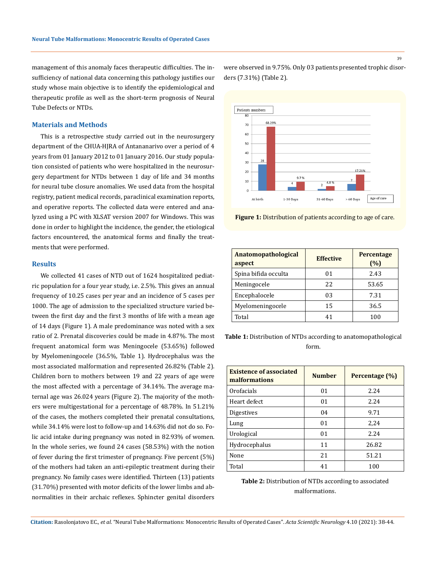management of this anomaly faces therapeutic difficulties. The insufficiency of national data concerning this pathology justifies our study whose main objective is to identify the epidemiological and therapeutic profile as well as the short-term prognosis of Neural Tube Defects or NTDs.

#### **Materials and Methods**

This is a retrospective study carried out in the neurosurgery department of the CHUA-HJRA of Antananarivo over a period of 4 years from 01 January 2012 to 01 January 2016. Our study population consisted of patients who were hospitalized in the neurosurgery department for NTDs between 1 day of life and 34 months for neural tube closure anomalies. We used data from the hospital registry, patient medical records, paraclinical examination reports, and operative reports. The collected data were entered and analyzed using a PC with XLSAT version 2007 for Windows. This was done in order to highlight the incidence, the gender, the etiological factors encountered, the anatomical forms and finally the treatments that were performed.

### **Results**

We collected 41 cases of NTD out of 1624 hospitalized pediatric population for a four year study, i.e. 2.5%. This gives an annual frequency of 10.25 cases per year and an incidence of 5 cases per 1000. The age of admission to the specialized structure varied between the first day and the first 3 months of life with a mean age of 14 days (Figure 1). A male predominance was noted with a sex ratio of 2. Prenatal discoveries could be made in 4.87%. The most frequent anatomical form was Meningocele (53.65%) followed by Myelomeningocele (36.5%, Table 1). Hydrocephalus was the most associated malformation and represented 26.82% (Table 2). Children born to mothers between 19 and 22 years of age were the most affected with a percentage of 34.14%. The average maternal age was 26.024 years (Figure 2). The majority of the mothers were multigestational for a percentage of 48.78%. In 51.21% of the cases, the mothers completed their prenatal consultations, while 34.14% were lost to follow-up and 14.63% did not do so. Folic acid intake during pregnancy was noted in 82.93% of women. In the whole series, we found 24 cases (58.53%) with the notion of fever during the first trimester of pregnancy. Five percent (5%) of the mothers had taken an anti-epileptic treatment during their pregnancy. No family cases were identified. Thirteen (13) patients (31.70%) presented with motor deficits of the lower limbs and abnormalities in their archaic reflexes. Sphincter genital disorders

were observed in 9.75%. Only 03 patients presented trophic disorders (7.31%) (Table 2).



**Figure 1:** Distribution of patients according to age of care.

| Anatomopathological<br>aspect | <b>Effective</b> | Percentage<br>(%) |
|-------------------------------|------------------|-------------------|
| Spina bifida occulta          | 01               | 2.43              |
| Meningocele                   | 22               | 53.65             |
| Encephalocele                 | 03               | 7.31              |
| Myelomeningocele              | 15               | 36.5              |
| Total                         | 41               | 100               |

**Table 1:** Distribution of NTDs according to anatomopathological form.

| <b>Existence of associated</b><br>malformations | <b>Number</b> | Percentage (%) |
|-------------------------------------------------|---------------|----------------|
| Orofacials                                      | 01            | 2.24           |
| Heart defect                                    | 01            | 2.24           |
| Digestives                                      | 04            | 9.71           |
| Lung                                            | 01            | 2,24           |
| Urological                                      | 01            | 2.24           |
| Hydrocephalus                                   | 11            | 26.82          |
| None                                            | 21            | 51.21          |
| Total                                           | 41            | 100            |

**Table 2:** Distribution of NTDs according to associated malformations.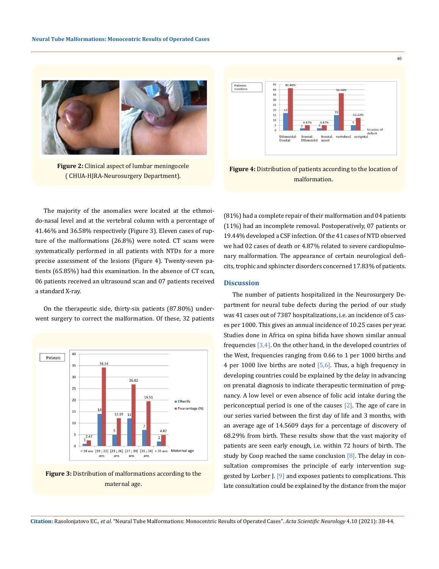

**Figure 2:** Clinical aspect of lumbar meningocele ( CHUA-HJRA-Neurosurgery Department).



40

**Figure 4:** Distribution of patients according to the location of malformation.

The majority of the anomalies were located at the ethmoido-nasal level and at the vertebral column with a percentage of 41.46% and 36.58% respectively (Figure 3). Eleven cases of rupture of the malformations (26.8%) were noted. CT scans were systematically performed in all patients with NTDs for a more precise assessment of the lesions (Figure 4). Twenty-seven patients (65.85%) had this examination. In the absence of CT scan, 06 patients received an ultrasound scan and 07 patients received a standard X-ray.

On the therapeutic side, thirty-six patients (87.80%) underwent surgery to correct the malformation. Of these, 32 patients





(81%) had a complete repair of their malformation and 04 patients (11%) had an incomplete removal. Postoperatively, 07 patients or 19.44% developed a CSF infection. Of the 41 cases of NTD observed we had 02 cases of death or 4.87% related to severe cardiopulmonary malformation. The appearance of certain neurological deficits, trophic and sphincter disorders concerned 17.83% of patients.

#### **Discussion**

The number of patients hospitalized in the Neurosurgery Department for neural tube defects during the period of our study was 41 cases out of 7387 hospitalizations, i.e. an incidence of 5 cases per 1000. This gives an annual incidence of 10.25 cases per year. Studies done in Africa on spina bifida have shown similar annual frequencies  $[3,4]$ . On the other hand, in the developed countries of the West, frequencies ranging from 0.66 to 1 per 1000 births and 4 per 1000 live births are noted [5,6]. Thus, a high frequency in developing countries could be explained by the delay in advancing on prenatal diagnosis to indicate therapeutic termination of pregnancy. A low level or even absence of folic acid intake during the periconceptual period is one of the causes  $[2]$ . The age of care in our series varied between the first day of life and 3 months, with an average age of 14.5609 days for a percentage of discovery of 68.29% from birth. These results show that the vast majority of patients are seen early enough, i.e. within 72 hours of birth. The study by Coop reached the same conclusion  $[8]$ . The delay in consultation compromises the principle of early intervention suggested by Lorber J. [9] and exposes patients to complications. This late consultation could be explained by the distance from the major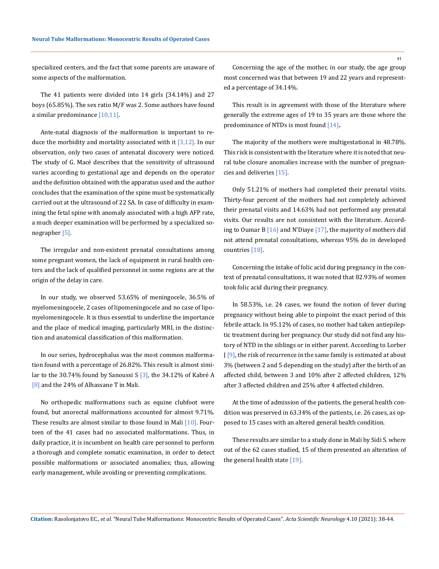specialized centers, and the fact that some parents are unaware of some aspects of the malformation.

The 41 patients were divided into 14 girls (34.14%) and 27 boys (65.85%). The sex ratio M/F was 2. Some authors have found a similar predominance [10,11].

Ante-natal diagnosis of the malformation is important to reduce the morbidity and mortality associated with it  $[3,12]$ . In our observation, only two cases of antenatal discovery were noticed. The study of G. Macé describes that the sensitivity of ultrasound varies according to gestational age and depends on the operator and the definition obtained with the apparatus used and the author concludes that the examination of the spine must be systematically carried out at the ultrasound of 22 SA. In case of difficulty in examining the fetal spine with anomaly associated with a high AFP rate, a much deeper examination will be performed by a specialized sonographer [5].

The irregular and non-existent prenatal consultations among some pregnant women, the lack of equipment in rural health centers and the lack of qualified personnel in some regions are at the origin of the delay in care.

In our study, we observed 53.65% of meningocele, 36.5% of myelomeningocele, 2 cases of lipomeningocele and no case of lipomyelomeningocele. It is thus essential to underline the importance and the place of medical imaging, particularly MRI, in the distinction and anatomical classification of this malformation.

In our series, hydrocephalus was the most common malformation found with a percentage of 26.82%. This result is almost similar to the 30.74% found by Sanoussi S [3], the 34.12% of Kabré A [8] and the 24% of Alhassane T in Mali.

No orthopedic malformations such as equine clubfoot were found, but anorectal malformations accounted for almost 9.71%. These results are almost similar to those found in Mali [10]. Fourteen of the 41 cases had no associated malformations. Thus, in daily practice, it is incumbent on health care personnel to perform a thorough and complete somatic examination, in order to detect possible malformations or associated anomalies; thus, allowing early management, while avoiding or preventing complications.

Concerning the age of the mother, in our study, the age group most concerned was that between 19 and 22 years and represented a percentage of 34.14%.

This result is in agreement with those of the literature where generally the extreme ages of 19 to 35 years are those where the predominance of NTDs is most found [14]**.**

The majority of the mothers were multigestational in 48.78%. This risk is consistent with the literature where it is noted that neural tube closure anomalies increase with the number of pregnancies and deliveries [15].

Only 51.21% of mothers had completed their prenatal visits. Thirty-four percent of the mothers had not completely achieved their prenatal visits and 14.63% had not performed any prenatal visits. Our results are not consistent with the literature. According to Oumar B [16] and N'Diaye [17], the majority of mothers did not attend prenatal consultations, whereas 95% do in developed countries [18].

Concerning the intake of folic acid during pregnancy in the context of prenatal consultations, it was noted that 82.93% of women took folic acid during their pregnancy.

In 58.53%, i.e. 24 cases, we found the notion of fever during pregnancy without being able to pinpoint the exact period of this febrile attack. In 95.12% of cases, no mother had taken antiepileptic treatment during her pregnancy. Our study did not find any history of NTD in the siblings or in either parent. According to Lorber J [9], the risk of recurrence in the same family is estimated at about 3% (between 2 and 5 depending on the study) after the birth of an affected child, between 3 and 10% after 2 affected children, 12% after 3 affected children and 25% after 4 affected children.

At the time of admission of the patients, the general health condition was preserved in 63.34% of the patients, i.e. 26 cases, as opposed to 15 cases with an altered general health condition.

These results are similar to a study done in Mali by Sidi S. where out of the 62 cases studied, 15 of them presented an alteration of the general health state [19].

**Citation:** Rasolonjatovo EC*., et al.* "Neural Tube Malformations: Monocentric Results of Operated Cases". *Acta Scientific Neurology* 4.10 (2021): 38-44.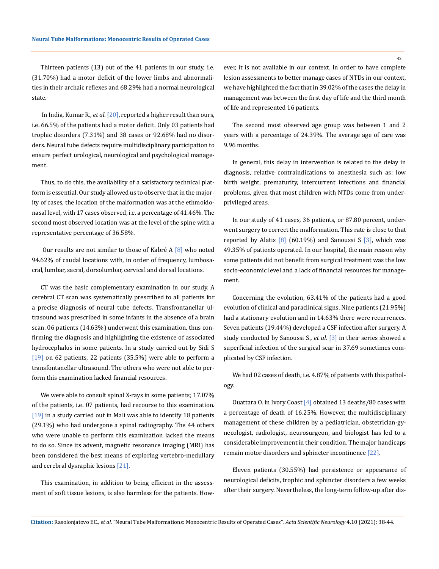Thirteen patients (13) out of the 41 patients in our study, i.e. (31.70%) had a motor deficit of the lower limbs and abnormalities in their archaic reflexes and 68.29% had a normal neurological state.

 In India, Kumar R., *et al*. [20], reported a higher result than ours, i.e. 66.5% of the patients had a motor deficit. Only 03 patients had trophic disorders (7.31%) and 38 cases or 92.68% had no disorders. Neural tube defects require multidisciplinary participation to ensure perfect urological, neurological and psychological management.

Thus, to do this, the availability of a satisfactory technical platform is essential. Our study allowed us to observe that in the majority of cases, the location of the malformation was at the ethmoidonasal level, with 17 cases observed, i.e. a percentage of 41.46%. The second most observed location was at the level of the spine with a representative percentage of 36.58%.

 Our results are not similar to those of Kabré A [8] who noted 94.62% of caudal locations with, in order of frequency, lumbosacral, lumbar, sacral, dorsolumbar, cervical and dorsal locations.

CT was the basic complementary examination in our study. A cerebral CT scan was systematically prescribed to all patients for a precise diagnosis of neural tube defects. Transfrontanellar ultrasound was prescribed in some infants in the absence of a brain scan. 06 patients (14.63%) underwent this examination, thus confirming the diagnosis and highlighting the existence of associated hydrocephalus in some patients. In a study carried out by Sidi S [19] on 62 patients, 22 patients (35.5%) were able to perform a transfontanellar ultrasound. The others who were not able to perform this examination lacked financial resources.

We were able to consult spinal X-rays in some patients; 17.07% of the patients, i.e. 07 patients, had recourse to this examination. [19] in a study carried out in Mali was able to identify 18 patients (29.1%) who had undergone a spinal radiography. The 44 others who were unable to perform this examination lacked the means to do so. Since its advent, magnetic resonance imaging (MRI) has been considered the best means of exploring vertebro-medullary and cerebral dysraphic lesions [21].

This examination, in addition to being efficient in the assessment of soft tissue lesions, is also harmless for the patients. However, it is not available in our context. In order to have complete lesion assessments to better manage cases of NTDs in our context, we have highlighted the fact that in 39.02% of the cases the delay in management was between the first day of life and the third month of life and represented 16 patients.

The second most observed age group was between 1 and 2 years with a percentage of 24.39%. The average age of care was 9.96 months.

In general, this delay in intervention is related to the delay in diagnosis, relative contraindications to anesthesia such as: low birth weight, prematurity, intercurrent infections and financial problems, given that most children with NTDs come from underprivileged areas.

In our study of 41 cases, 36 patients, or 87.80 percent, underwent surgery to correct the malformation. This rate is close to that reported by Alatis  $[8]$  (60.19%) and Sanoussi S  $[3]$ , which was 49.35% of patients operated. In our hospital, the main reason why some patients did not benefit from surgical treatment was the low socio-economic level and a lack of financial resources for management.

Concerning the evolution, 63.41% of the patients had a good evolution of clinical and paraclinical signs. Nine patients (21.95%) had a stationary evolution and in 14.63% there were recurrences. Seven patients (19.44%) developed a CSF infection after surgery. A study conducted by Sanoussi S., *et al*. [3] in their series showed a superficial infection of the surgical scar in 37.69 sometimes complicated by CSF infection.

We had 02 cases of death, i.e. 4.87% of patients with this pathology.

Ouattara O. in Ivory Coast [4] obtained 13 deaths/80 cases with a percentage of death of 16.25%. However, the multidisciplinary management of these children by a pediatrician, obstetrician-gynecologist, radiologist, neurosurgeon, and biologist has led to a considerable improvement in their condition. The major handicaps remain motor disorders and sphincter incontinence [22].

Eleven patients (30.55%) had persistence or appearance of neurological deficits, trophic and sphincter disorders a few weeks after their surgery. Nevertheless, the long-term follow-up after dis-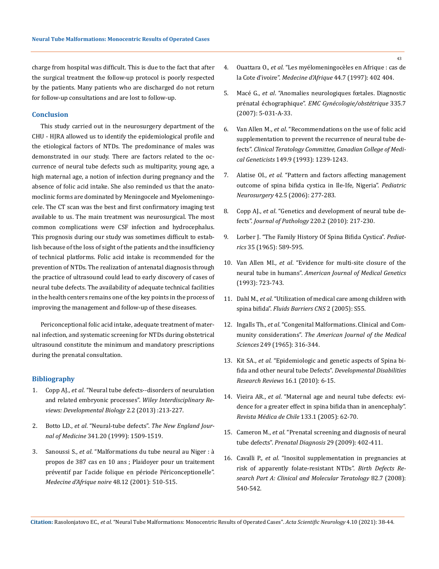charge from hospital was difficult. This is due to the fact that after the surgical treatment the follow-up protocol is poorly respected by the patients. Many patients who are discharged do not return for follow-up consultations and are lost to follow-up.

## **Conclusion**

This study carried out in the neurosurgery department of the CHU - HJRA allowed us to identify the epidemiological profile and the etiological factors of NTDs. The predominance of males was demonstrated in our study. There are factors related to the occurrence of neural tube defects such as multiparity, young age, a high maternal age, a notion of infection during pregnancy and the absence of folic acid intake. She also reminded us that the anatomoclinic forms are dominated by Meningocele and Myelomeningocele. The CT scan was the best and first confirmatory imaging test available to us. The main treatment was neurosurgical. The most common complications were CSF infection and hydrocephalus. This prognosis during our study was sometimes difficult to establish because of the loss of sight of the patients and the insufficiency of technical platforms. Folic acid intake is recommended for the prevention of NTDs. The realization of antenatal diagnosis through the practice of ultrasound could lead to early discovery of cases of neural tube defects. The availability of adequate technical facilities in the health centers remains one of the key points in the process of improving the management and follow-up of these diseases.

Periconceptional folic acid intake, adequate treatment of maternal infection, and systematic screening for NTDs during obstetrical ultrasound constitute the minimum and mandatory prescriptions during the prenatal consultation.

### **Bibliography**

- 1. Copp AJ., *et al*[. "Neural tube defects--disorders of neurulation](https://pubmed.ncbi.nlm.nih.gov/24009034/)  [and related embryonic processes".](https://pubmed.ncbi.nlm.nih.gov/24009034/) *Wiley Interdisciplinary Re[views: Developmental Biology](https://pubmed.ncbi.nlm.nih.gov/24009034/)* 2.2 (2013) :213-227.
- 2. Botto LD., *et al*. "Neural-tube defects". *[The New England Jour](https://pubmed.ncbi.nlm.nih.gov/10559453/)nal of Medicine* [341.20 \(1999\): 1509-1519.](https://pubmed.ncbi.nlm.nih.gov/10559453/)
- 3. Sanoussi S., *et al*[. "Malformations du tube neural au Niger : à](http://www.santetropicale.com/Resume/124805.pdf)  [propos de 387 cas en 10 ans ; Plaidoyer pour un traitement](http://www.santetropicale.com/Resume/124805.pdf)  [préventif par l'acide folique en période Périconceptionelle".](http://www.santetropicale.com/Resume/124805.pdf)  *[Medecine d'Afrique noire](http://www.santetropicale.com/Resume/124805.pdf)* 48.12 (2001): 510-515.
- 4. Ouattara O., *et al*[. "Les myélomeningocèles en Afrique : cas de](http://www.santetropicale.com/Resume/74404.pdf)  la Cote d'ivoire". *[Medecine d'Afrique](http://www.santetropicale.com/Resume/74404.pdf)* 44.7 (1997): 402 404.
- 5. Macé G., *et al*[. "Anomalies neurologiques fœtales. Diagnostic](https://www.em-consulte.com/article/66730/anomalies-neurologiques-foetales-diagnostic-prenat)  prénatal échographique". *[EMC Gynécologie/obstétrique](https://www.em-consulte.com/article/66730/anomalies-neurologiques-foetales-diagnostic-prenat)* 335.7 [\(2007\): 5-031-A-33.](https://www.em-consulte.com/article/66730/anomalies-neurologiques-foetales-diagnostic-prenat)
- 6. Van Allen M., *et al*[. "Recommendations on the use of folic acid](https://pubmed.ncbi.nlm.nih.gov/8221478/)  [supplementation to prevent the recurrence of neural tube de](https://pubmed.ncbi.nlm.nih.gov/8221478/)fects". *[Clinical Teratology Committee, Canadian College of Medi](https://pubmed.ncbi.nlm.nih.gov/8221478/)cal Geneticists* [149.9 \(1993\): 1239-1243.](https://pubmed.ncbi.nlm.nih.gov/8221478/)
- 7. Alatise OI., *et al*[. "Pattern and factors affecting management](https://www.karger.com/Article/Abstract/94062)  [outcome of spina bifida cystica in Ile-Ife, Nigeria".](https://www.karger.com/Article/Abstract/94062) *Pediatric Neurosurgery* [42.5 \(2006\): 277-283.](https://www.karger.com/Article/Abstract/94062)
- 8. Copp AJ., *et al*[. "Genetics and development of neural tube de](https://pubmed.ncbi.nlm.nih.gov/19918803/)fects". *[Journal of Pathology](https://pubmed.ncbi.nlm.nih.gov/19918803/)* 220.2 (2010): 217-230.
- 9. [Lorber J. "The Family History Of Spina Bifida Cystica".](https://pediatrics.aappublications.org/content/35/4/589) *Pediatrics* [35 \(1965\): 589-595.](https://pediatrics.aappublications.org/content/35/4/589)
- 10. Van Allen MI., *et al*[. "Evidence for multi-site closure of the](https://pubmed.ncbi.nlm.nih.gov/8267004/)  neural tube in humans". *[American Journal of Medical Genetics](https://pubmed.ncbi.nlm.nih.gov/8267004/)*  [\(1993\): 723-743.](https://pubmed.ncbi.nlm.nih.gov/8267004/)
- 11. Dahl M., *et al*[. "Utilization of medical care among children with](https://fluidsbarrierscns.biomedcentral.com/articles/10.1186/1743-8454-2-S1-S55)  spina bifida". *[Fluids Barriers CNS](https://fluidsbarrierscns.biomedcentral.com/articles/10.1186/1743-8454-2-S1-S55)* 2 (2005): S55.
- 12. Ingalls Th., *et al*[. "Congenital Malformations. Clinical and Com](https://pubmed.ncbi.nlm.nih.gov/14273322/)munity considerations". *[The American Journal of the Medical](https://pubmed.ncbi.nlm.nih.gov/14273322/)  Sciences* [249 \(1965\): 316-344.](https://pubmed.ncbi.nlm.nih.gov/14273322/)
- 13. Kit SA., *et al*[. "Epidemiologic and genetic aspects of Spina bi](https://pubmed.ncbi.nlm.nih.gov/20419766/)[fida and other neural tube Defects".](https://pubmed.ncbi.nlm.nih.gov/20419766/) *Developmental Disabilities [Research Reviews](https://pubmed.ncbi.nlm.nih.gov/20419766/)* 16.1 (2010): 6-15.
- 14. Vieira AR., *et al*[. "Maternal age and neural tube defects: evi](https://pubmed.ncbi.nlm.nih.gov/15768151/)[dence for a greater effect in spina bifida than in anencephaly".](https://pubmed.ncbi.nlm.nih.gov/15768151/)  *[Revista Médica de Chile](https://pubmed.ncbi.nlm.nih.gov/15768151/)* 133.1 (2005): 62-70.
- 15. Cameron M., *et al*[. "Prenatal screening and diagnosis of neural](https://pubmed.ncbi.nlm.nih.gov/19301349/)  tube defects". *[Prenatal Diagnosis](https://pubmed.ncbi.nlm.nih.gov/19301349/)* 29 (2009): 402-411.
- 16. Cavalli P., *et al*[. "Inositol supplementation in pregnancies at](https://pubmed.ncbi.nlm.nih.gov/18418886/)  [risk of apparently folate-resistant NTDs".](https://pubmed.ncbi.nlm.nih.gov/18418886/) *Birth Defects Re[search Part A: Clinical and Molecular Teratology](https://pubmed.ncbi.nlm.nih.gov/18418886/)* 82.7 (2008): [540-542.](https://pubmed.ncbi.nlm.nih.gov/18418886/)

**Citation:** Rasolonjatovo EC*., et al.* "Neural Tube Malformations: Monocentric Results of Operated Cases". *Acta Scientific Neurology* 4.10 (2021): 38-44.